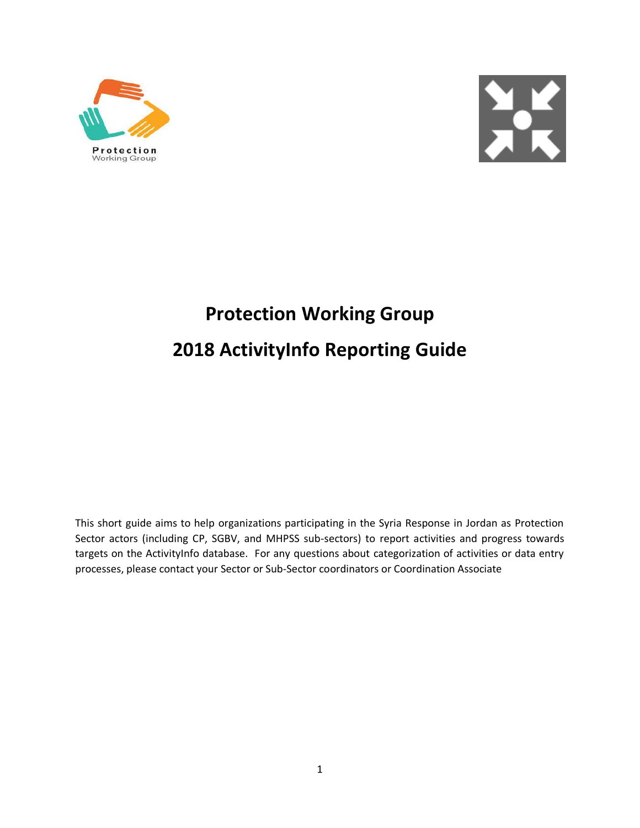



# **Protection Working Group 2018 ActivityInfo Reporting Guide**

This short guide aims to help organizations participating in the Syria Response in Jordan as Protection Sector actors (including CP, SGBV, and MHPSS sub-sectors) to report activities and progress towards targets on the ActivityInfo database. For any questions about categorization of activities or data entry processes, please contact your Sector or Sub-Sector coordinators or Coordination Associate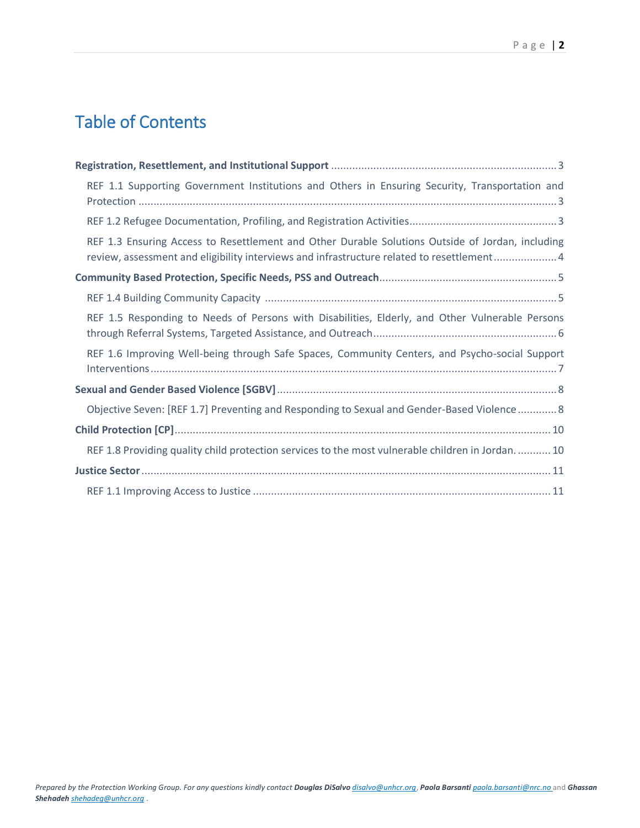## Table of Contents

| REF 1.1 Supporting Government Institutions and Others in Ensuring Security, Transportation and                                                                                                 |
|------------------------------------------------------------------------------------------------------------------------------------------------------------------------------------------------|
|                                                                                                                                                                                                |
| REF 1.3 Ensuring Access to Resettlement and Other Durable Solutions Outside of Jordan, including<br>review, assessment and eligibility interviews and infrastructure related to resettlement 4 |
|                                                                                                                                                                                                |
|                                                                                                                                                                                                |
| REF 1.5 Responding to Needs of Persons with Disabilities, Elderly, and Other Vulnerable Persons                                                                                                |
| REF 1.6 Improving Well-being through Safe Spaces, Community Centers, and Psycho-social Support                                                                                                 |
|                                                                                                                                                                                                |
| Objective Seven: [REF 1.7] Preventing and Responding to Sexual and Gender-Based Violence 8                                                                                                     |
|                                                                                                                                                                                                |
| REF 1.8 Providing quality child protection services to the most vulnerable children in Jordan 10                                                                                               |
|                                                                                                                                                                                                |
|                                                                                                                                                                                                |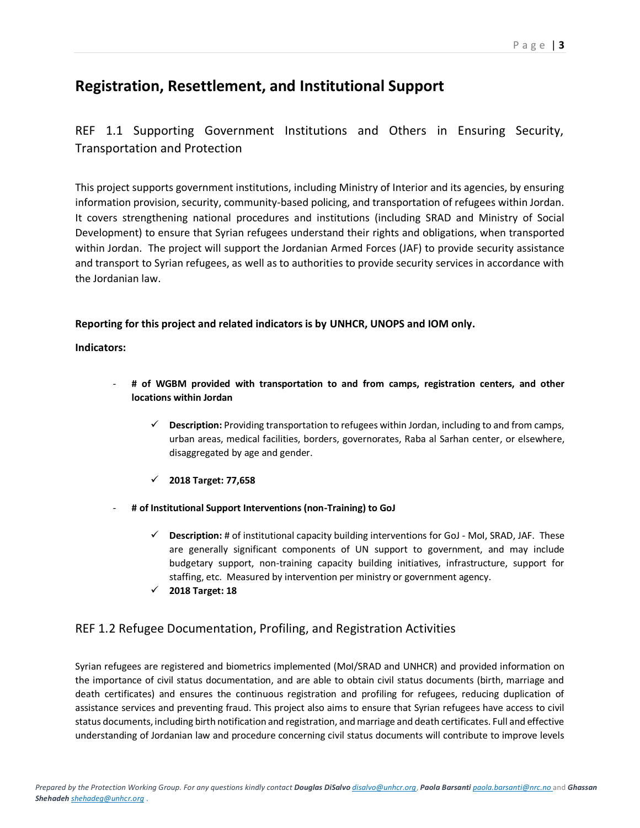## <span id="page-2-0"></span>**Registration, Resettlement, and Institutional Support**

## <span id="page-2-1"></span>REF 1.1 Supporting Government Institutions and Others in Ensuring Security, Transportation and Protection

This project supports government institutions, including Ministry of Interior and its agencies, by ensuring information provision, security, community-based policing, and transportation of refugees within Jordan. It covers strengthening national procedures and institutions (including SRAD and Ministry of Social Development) to ensure that Syrian refugees understand their rights and obligations, when transported within Jordan. The project will support the Jordanian Armed Forces (JAF) to provide security assistance and transport to Syrian refugees, as well as to authorities to provide security services in accordance with the Jordanian law.

#### **Reporting for this project and related indicators is by UNHCR, UNOPS and IOM only.**

**Indicators:** 

- # of WGBM provided with transportation to and from camps, registration centers, and other **locations within Jordan**
	- **Description:** Providing transportation to refugees within Jordan, including to and from camps, urban areas, medical facilities, borders, governorates, Raba al Sarhan center, or elsewhere, disaggregated by age and gender.
	- **2018 Target: 77,658**
- **# of Institutional Support Interventions (non-Training) to GoJ**
	- **Description:** # of institutional capacity building interventions for GoJ MoI, SRAD, JAF. These are generally significant components of UN support to government, and may include budgetary support, non-training capacity building initiatives, infrastructure, support for staffing, etc. Measured by intervention per ministry or government agency.
	- **2018 Target: 18**

### <span id="page-2-2"></span>REF 1.2 Refugee Documentation, Profiling, and Registration Activities

Syrian refugees are registered and biometrics implemented (MoI/SRAD and UNHCR) and provided information on the importance of civil status documentation, and are able to obtain civil status documents (birth, marriage and death certificates) and ensures the continuous registration and profiling for refugees, reducing duplication of assistance services and preventing fraud. This project also aims to ensure that Syrian refugees have access to civil status documents, including birth notification and registration, and marriage and death certificates. Full and effective understanding of Jordanian law and procedure concerning civil status documents will contribute to improve levels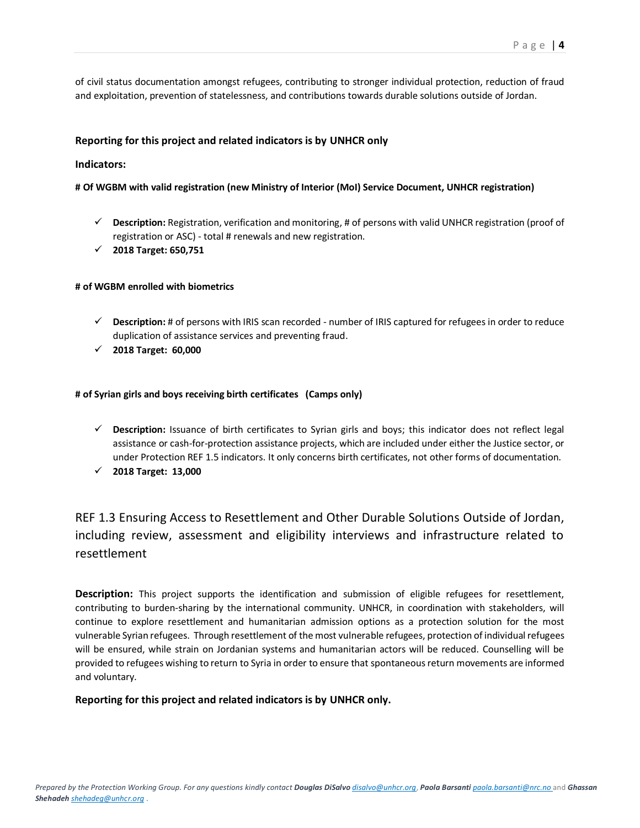of civil status documentation amongst refugees, contributing to stronger individual protection, reduction of fraud and exploitation, prevention of statelessness, and contributions towards durable solutions outside of Jordan.

#### **Reporting for this project and related indicators is by UNHCR only**

#### **Indicators:**

#### **# Of WGBM with valid registration (new Ministry of Interior (MoI) Service Document, UNHCR registration)**

- **Description:** Registration, verification and monitoring, # of persons with valid UNHCR registration (proof of registration or ASC) - total # renewals and new registration.
- **2018 Target: 650,751**

#### **# of WGBM enrolled with biometrics**

- **Description:** # of persons with IRIS scan recorded number of IRIS captured for refugees in order to reduce duplication of assistance services and preventing fraud.
- **2018 Target: 60,000**

#### **# of Syrian girls and boys receiving birth certificates (Camps only)**

- **Description:** Issuance of birth certificates to Syrian girls and boys; this indicator does not reflect legal assistance or cash-for-protection assistance projects, which are included under either the Justice sector, or under Protection REF 1.5 indicators. It only concerns birth certificates, not other forms of documentation.
- **2018 Target: 13,000**

## <span id="page-3-0"></span>REF 1.3 Ensuring Access to Resettlement and Other Durable Solutions Outside of Jordan, including review, assessment and eligibility interviews and infrastructure related to resettlement

**Description:** This project supports the identification and submission of eligible refugees for resettlement, contributing to burden-sharing by the international community. UNHCR, in coordination with stakeholders, will continue to explore resettlement and humanitarian admission options as a protection solution for the most vulnerable Syrian refugees. Through resettlement of the most vulnerable refugees, protection of individual refugees will be ensured, while strain on Jordanian systems and humanitarian actors will be reduced. Counselling will be provided to refugees wishing to return to Syria in order to ensure that spontaneous return movements are informed and voluntary.

#### **Reporting for this project and related indicators is by UNHCR only.**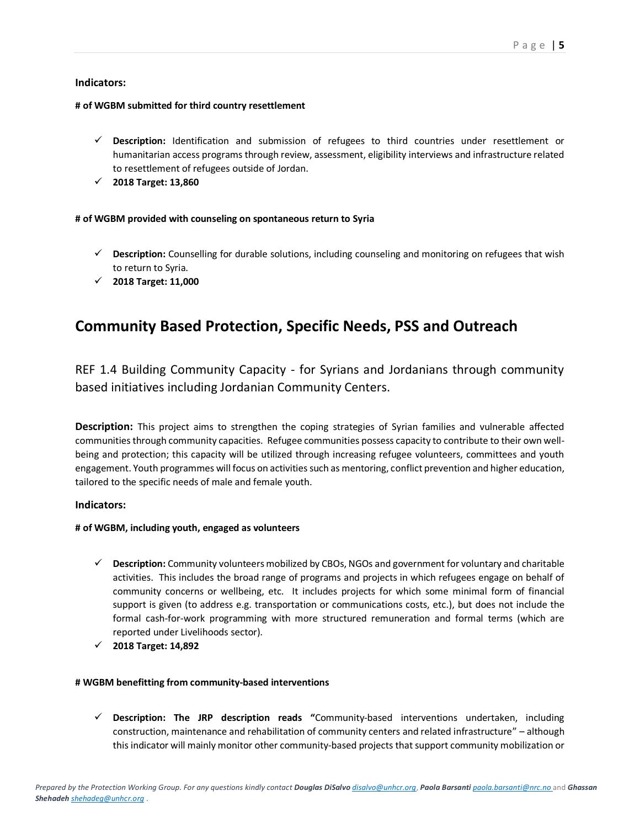#### **Indicators:**

#### **# of WGBM submitted for third country resettlement**

- **Description:** Identification and submission of refugees to third countries under resettlement or humanitarian access programs through review, assessment, eligibility interviews and infrastructure related to resettlement of refugees outside of Jordan.
- **2018 Target: 13,860**

#### **# of WGBM provided with counseling on spontaneous return to Syria**

- **Description:** Counselling for durable solutions, including counseling and monitoring on refugees that wish to return to Syria.
- **2018 Target: 11,000**

## <span id="page-4-0"></span>**Community Based Protection, Specific Needs, PSS and Outreach**

<span id="page-4-1"></span>REF 1.4 Building Community Capacity - for Syrians and Jordanians through community based initiatives including Jordanian Community Centers.

**Description:** This project aims to strengthen the coping strategies of Syrian families and vulnerable affected communities through community capacities. Refugee communities possess capacity to contribute to their own wellbeing and protection; this capacity will be utilized through increasing refugee volunteers, committees and youth engagement. Youth programmes will focus on activities such as mentoring, conflict prevention and higher education, tailored to the specific needs of male and female youth.

#### **Indicators:**

#### **# of WGBM, including youth, engaged as volunteers**

- **Description:** Community volunteers mobilized by CBOs, NGOs and government for voluntary and charitable activities. This includes the broad range of programs and projects in which refugees engage on behalf of community concerns or wellbeing, etc. It includes projects for which some minimal form of financial support is given (to address e.g. transportation or communications costs, etc.), but does not include the formal cash-for-work programming with more structured remuneration and formal terms (which are reported under Livelihoods sector).
- **2018 Target: 14,892**

#### **# WGBM benefitting from community-based interventions**

 **Description: The JRP description reads "**Community-based interventions undertaken, including construction, maintenance and rehabilitation of community centers and related infrastructure" – although this indicator will mainly monitor other community-based projects that support community mobilization or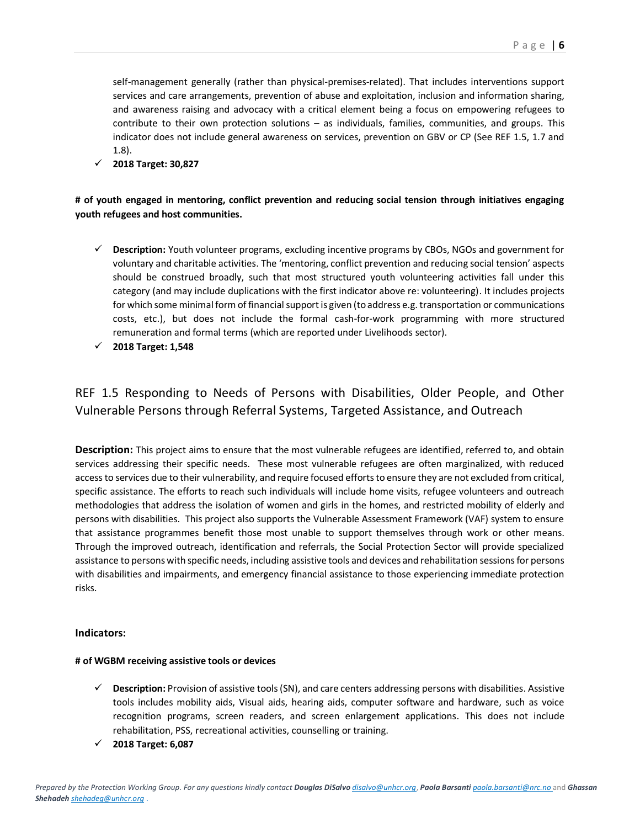self-management generally (rather than physical-premises-related). That includes interventions support services and care arrangements, prevention of abuse and exploitation, inclusion and information sharing, and awareness raising and advocacy with a critical element being a focus on empowering refugees to contribute to their own protection solutions – as individuals, families, communities, and groups. This indicator does not include general awareness on services, prevention on GBV or CP (See REF 1.5, 1.7 and 1.8).

**2018 Target: 30,827**

**# of youth engaged in mentoring, conflict prevention and reducing social tension through initiatives engaging youth refugees and host communities.**

- **Description:** Youth volunteer programs, excluding incentive programs by CBOs, NGOs and government for voluntary and charitable activities. The 'mentoring, conflict prevention and reducing social tension' aspects should be construed broadly, such that most structured youth volunteering activities fall under this category (and may include duplications with the first indicator above re: volunteering). It includes projects for which some minimal form of financial support is given (to address e.g. transportation or communications costs, etc.), but does not include the formal cash-for-work programming with more structured remuneration and formal terms (which are reported under Livelihoods sector).
- **2018 Target: 1,548**

## <span id="page-5-0"></span>REF 1.5 Responding to Needs of Persons with Disabilities, Older People, and Other Vulnerable Persons through Referral Systems, Targeted Assistance, and Outreach

**Description:** This project aims to ensure that the most vulnerable refugees are identified, referred to, and obtain services addressing their specific needs. These most vulnerable refugees are often marginalized, with reduced access to services due to their vulnerability, and require focused efforts to ensure they are not excluded from critical, specific assistance. The efforts to reach such individuals will include home visits, refugee volunteers and outreach methodologies that address the isolation of women and girls in the homes, and restricted mobility of elderly and persons with disabilities. This project also supports the Vulnerable Assessment Framework (VAF) system to ensure that assistance programmes benefit those most unable to support themselves through work or other means. Through the improved outreach, identification and referrals, the Social Protection Sector will provide specialized assistance to persons with specific needs, including assistive tools and devices and rehabilitation sessions for persons with disabilities and impairments, and emergency financial assistance to those experiencing immediate protection risks.

#### **Indicators:**

#### **# of WGBM receiving assistive tools or devices**

- **Description:** Provision of assistive tools (SN), and care centers addressing persons with disabilities. Assistive tools includes mobility aids, Visual aids, hearing aids, computer software and hardware, such as voice recognition programs, screen readers, and screen enlargement applications. This does not include rehabilitation, PSS, recreational activities, counselling or training.
- **2018 Target: 6,087**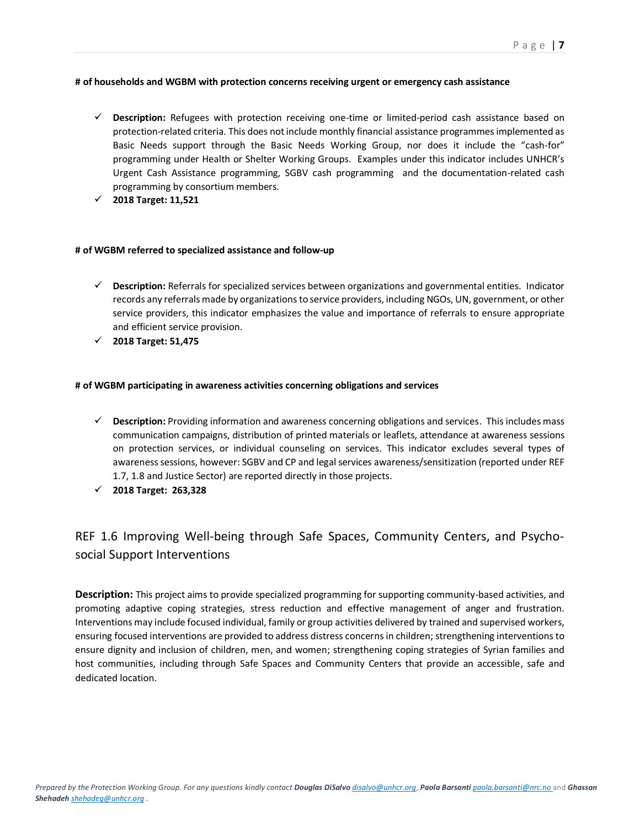#### **# of households and WGBM with protection concerns receiving urgent or emergency cash assistance**

- **Description:** Refugees with protection receiving one-time or limited-period cash assistance based on protection-related criteria. This does not include monthly financial assistance programmes implemented as Basic Needs support through the Basic Needs Working Group, nor does it include the "cash-for" programming under Health or Shelter Working Groups. Examples under this indicator includes UNHCR's Urgent Cash Assistance programming, SGBV cash programming and the documentation-related cash programming by consortium members.
- **2018 Target: 11,521**

#### **# of WGBM referred to specialized assistance and follow-up**

- **Description:** Referrals for specialized services between organizations and governmental entities. Indicator records any referrals made by organizations to service providers, including NGOs, UN, government, or other service providers, this indicator emphasizes the value and importance of referrals to ensure appropriate and efficient service provision.
- **2018 Target: 51,475**

#### **# of WGBM participating in awareness activities concerning obligations and services**

- **Description:** Providing information and awareness concerning obligations and services. This includes mass communication campaigns, distribution of printed materials or leaflets, attendance at awareness sessions on protection services, or individual counseling on services. This indicator excludes several types of awarenesssessions, however: SGBV and CP and legal services awareness/sensitization (reported under REF 1.7, 1.8 and Justice Sector) are reported directly in those projects.
- **2018 Target: 263,328**

## <span id="page-6-0"></span>REF 1.6 Improving Well-being through Safe Spaces, Community Centers, and Psychosocial Support Interventions

**Description:** This project aims to provide specialized programming for supporting community-based activities, and promoting adaptive coping strategies, stress reduction and effective management of anger and frustration. Interventions may include focused individual, family or group activities delivered by trained and supervised workers, ensuring focused interventions are provided to address distress concerns in children; strengthening interventions to ensure dignity and inclusion of children, men, and women; strengthening coping strategies of Syrian families and host communities, including through Safe Spaces and Community Centers that provide an accessible, safe and dedicated location.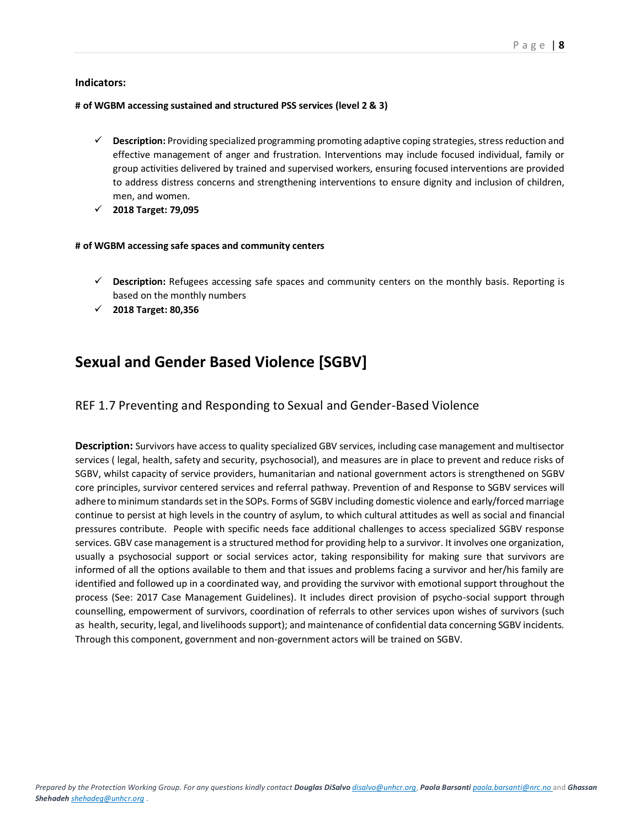#### **Indicators:**

#### **# of WGBM accessing sustained and structured PSS services (level 2 & 3)**

- **Description:** Providing specialized programming promoting adaptive coping strategies, stress reduction and effective management of anger and frustration. Interventions may include focused individual, family or group activities delivered by trained and supervised workers, ensuring focused interventions are provided to address distress concerns and strengthening interventions to ensure dignity and inclusion of children, men, and women.
- **2018 Target: 79,095**

#### **# of WGBM accessing safe spaces and community centers**

- **Description:** Refugees accessing safe spaces and community centers on the monthly basis. Reporting is based on the monthly numbers
- **2018 Target: 80,356**

## <span id="page-7-0"></span>**Sexual and Gender Based Violence [SGBV]**

#### <span id="page-7-1"></span>REF 1.7 Preventing and Responding to Sexual and Gender-Based Violence

**Description:** Survivors have access to quality specialized GBV services, including case management and multisector services ( legal, health, safety and security, psychosocial), and measures are in place to prevent and reduce risks of SGBV, whilst capacity of service providers, humanitarian and national government actors is strengthened on SGBV core principles, survivor centered services and referral pathway. Prevention of and Response to SGBV services will adhere to minimum standards set in the SOPs. Forms of SGBV including domestic violence and early/forced marriage continue to persist at high levels in the country of asylum, to which cultural attitudes as well as social and financial pressures contribute. People with specific needs face additional challenges to access specialized SGBV response services. GBV case management is a structured method for providing help to a survivor. It involves one organization, usually a psychosocial support or social services actor, taking responsibility for making sure that survivors are informed of all the options available to them and that issues and problems facing a survivor and her/his family are identified and followed up in a coordinated way, and providing the survivor with emotional support throughout the process (See: 2017 Case Management Guidelines). It includes direct provision of psycho-social support through counselling, empowerment of survivors, coordination of referrals to other services upon wishes of survivors (such as health, security, legal, and livelihoods support); and maintenance of confidential data concerning SGBV incidents. Through this component, government and non-government actors will be trained on SGBV.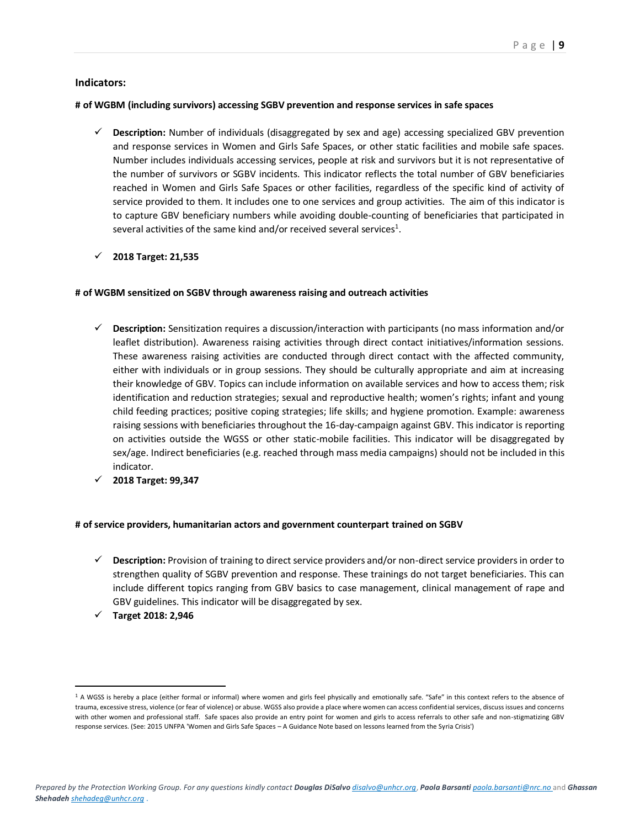#### **Indicators:**

#### **# of WGBM (including survivors) accessing SGBV prevention and response services in safe spaces**

- **Description:** Number of individuals (disaggregated by sex and age) accessing specialized GBV prevention and response services in Women and Girls Safe Spaces, or other static facilities and mobile safe spaces. Number includes individuals accessing services, people at risk and survivors but it is not representative of the number of survivors or SGBV incidents. This indicator reflects the total number of GBV beneficiaries reached in Women and Girls Safe Spaces or other facilities, regardless of the specific kind of activity of service provided to them. It includes one to one services and group activities. The aim of this indicator is to capture GBV beneficiary numbers while avoiding double-counting of beneficiaries that participated in several activities of the same kind and/or received several services<sup>1</sup>.
- **2018 Target: 21,535**

#### **# of WGBM sensitized on SGBV through awareness raising and outreach activities**

- **Description:** Sensitization requires a discussion/interaction with participants (no mass information and/or leaflet distribution). Awareness raising activities through direct contact initiatives/information sessions. These awareness raising activities are conducted through direct contact with the affected community, either with individuals or in group sessions. They should be culturally appropriate and aim at increasing their knowledge of GBV. Topics can include information on available services and how to access them; risk identification and reduction strategies; sexual and reproductive health; women's rights; infant and young child feeding practices; positive coping strategies; life skills; and hygiene promotion. Example: awareness raising sessions with beneficiaries throughout the 16-day-campaign against GBV. This indicator is reporting on activities outside the WGSS or other static-mobile facilities. This indicator will be disaggregated by sex/age. Indirect beneficiaries (e.g. reached through mass media campaigns) should not be included in this indicator.
- **2018 Target: 99,347**

#### **# of service providers, humanitarian actors and government counterpart trained on SGBV**

- **Description:** Provision of training to direct service providers and/or non-direct service providers in order to strengthen quality of SGBV prevention and response. These trainings do not target beneficiaries. This can include different topics ranging from GBV basics to case management, clinical management of rape and GBV guidelines. This indicator will be disaggregated by sex.
- **Target 2018: 2,946**

 $\overline{a}$ 

<sup>&</sup>lt;sup>1</sup> A WGSS is hereby a place (either formal or informal) where women and girls feel physically and emotionally safe. "Safe" in this context refers to the absence of trauma, excessive stress, violence (or fear of violence) or abuse. WGSS also provide a place where women can access confidential services, discuss issues and concerns with other women and professional staff. Safe spaces also provide an entry point for women and girls to access referrals to other safe and non-stigmatizing GBV response services. (See: 2015 UNFPA 'Women and Girls Safe Spaces – A Guidance Note based on lessons learned from the Syria Crisis')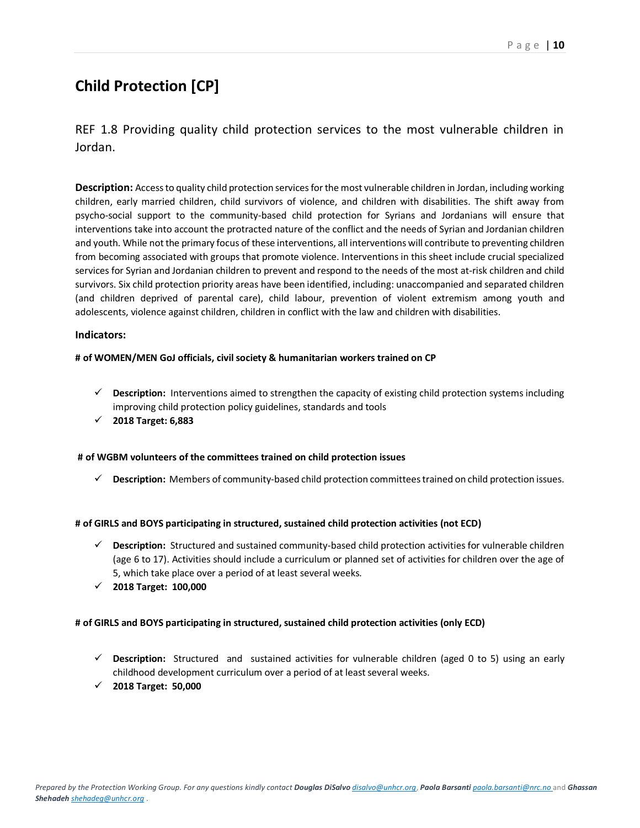## <span id="page-9-0"></span>**Child Protection [CP]**

<span id="page-9-1"></span>REF 1.8 Providing quality child protection services to the most vulnerable children in Jordan.

**Description:** Access to quality child protection services for the most vulnerable children in Jordan, including working children, early married children, child survivors of violence, and children with disabilities. The shift away from psycho-social support to the community-based child protection for Syrians and Jordanians will ensure that interventions take into account the protracted nature of the conflict and the needs of Syrian and Jordanian children and youth. While not the primary focus of these interventions, all interventions will contribute to preventing children from becoming associated with groups that promote violence. Interventions in this sheet include crucial specialized services for Syrian and Jordanian children to prevent and respond to the needs of the most at-risk children and child survivors. Six child protection priority areas have been identified, including: unaccompanied and separated children (and children deprived of parental care), child labour, prevention of violent extremism among youth and adolescents, violence against children, children in conflict with the law and children with disabilities.

#### **Indicators:**

#### **# of WOMEN/MEN GoJ officials, civil society & humanitarian workers trained on CP**

- **Description:** Interventions aimed to strengthen the capacity of existing child protection systems including improving child protection policy guidelines, standards and tools
- **2018 Target: 6,883**

#### **# of WGBM volunteers of the committees trained on child protection issues**

**Description:** Members of community-based child protection committees trained on child protection issues.

#### **# of GIRLS and BOYS participating in structured, sustained child protection activities (not ECD)**

- **Description:** Structured and sustained community-based child protection activities for vulnerable children (age 6 to 17). Activities should include a curriculum or planned set of activities for children over the age of 5, which take place over a period of at least several weeks.
- **2018 Target: 100,000**

#### **# of GIRLS and BOYS participating in structured, sustained child protection activities (only ECD)**

- **Description:** Structured and sustained activities for vulnerable children (aged 0 to 5) using an early childhood development curriculum over a period of at least several weeks.
- **2018 Target: 50,000**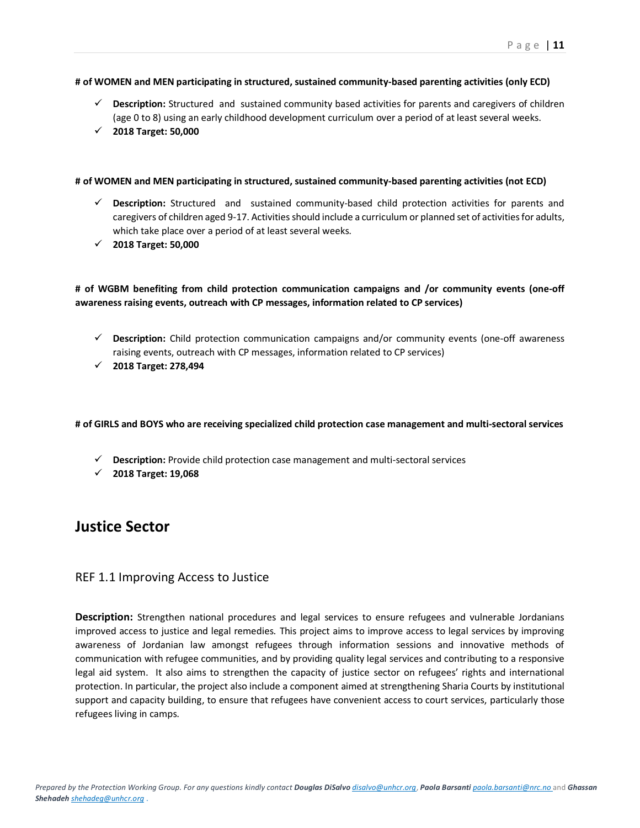#### **# of WOMEN and MEN participating in structured, sustained community-based parenting activities (only ECD)**

- **Description:** Structured and sustained community based activities for parents and caregivers of children (age 0 to 8) using an early childhood development curriculum over a period of at least several weeks.
- **2018 Target: 50,000**

#### **# of WOMEN and MEN participating in structured, sustained community-based parenting activities (not ECD)**

- **Description:** Structured and sustained community-based child protection activities for parents and caregivers of children aged 9-17. Activities should include a curriculum or planned set of activities for adults, which take place over a period of at least several weeks.
- **2018 Target: 50,000**

#### **# of WGBM benefiting from child protection communication campaigns and /or community events (one-off awareness raising events, outreach with CP messages, information related to CP services)**

- **Description:** Child protection communication campaigns and/or community events (one-off awareness raising events, outreach with CP messages, information related to CP services)
- **2018 Target: 278,494**

#### **# of GIRLS and BOYS who are receiving specialized child protection case management and multi-sectoral services**

- **Description:** Provide child protection case management and multi-sectoral services
- **2018 Target: 19,068**

### <span id="page-10-0"></span>**Justice Sector**

#### <span id="page-10-1"></span>REF 1.1 Improving Access to Justice

**Description:** Strengthen national procedures and legal services to ensure refugees and vulnerable Jordanians improved access to justice and legal remedies. This project aims to improve access to legal services by improving awareness of Jordanian law amongst refugees through information sessions and innovative methods of communication with refugee communities, and by providing quality legal services and contributing to a responsive legal aid system. It also aims to strengthen the capacity of justice sector on refugees' rights and international protection. In particular, the project also include a component aimed at strengthening Sharia Courts by institutional support and capacity building, to ensure that refugees have convenient access to court services, particularly those refugees living in camps.